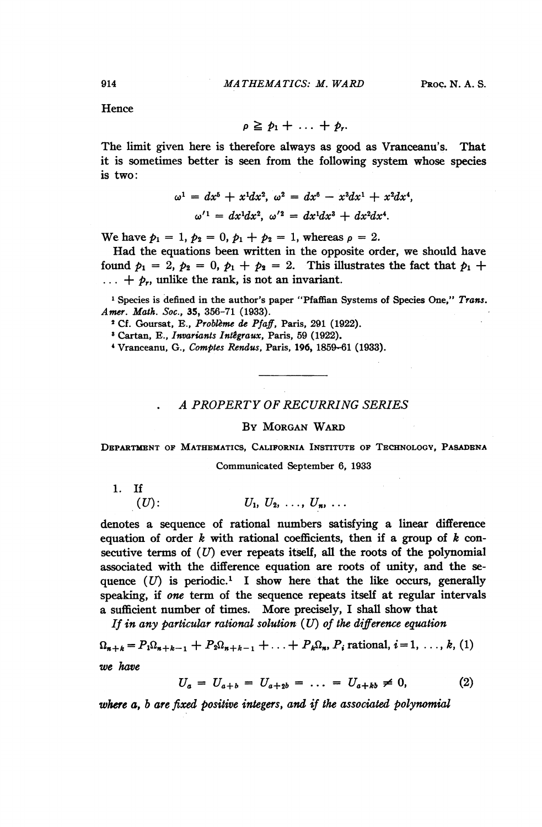**Hence** 

$$
\rho \geq p_1 + \ldots + p_r.
$$

The limit given here is therefore always as good as Vranceanu's. That it is sometimes better is seen from the following system whose species is two:

$$
\omega^{1} = dx^{5} + x^{1}dx^{2}, \ \omega^{2} = dx^{6} - x^{3}dx^{1} + x^{2}dx^{4},
$$

$$
\omega'^{1} = dx^{1}dx^{2}, \ \omega'^{2} = dx^{1}dx^{3} + dx^{2}dx^{4}.
$$

We have  $p_1 = 1$ ,  $p_2 = 0$ ,  $p_1 + p_2 = 1$ , whereas  $p = 2$ .

Had the equations been written in the opposite order, we should have found  $p_1 = 2$ ,  $p_2 = 0$ ,  $p_1 + p_2 = 2$ . This illustrates the fact that  $p_1 + p_2 = 2$ .  $\ldots + p_r$ , unlike the rank, is not an invariant.

<sup>1</sup> Species is defined in the author's paper "Pfaffian Systems of Species One," Trans. Amer. Math. Soc., 35, 356-71 (1933).

<sup>2</sup> Cf. Goursat, E., Probleme de Pfaff, Paris, 291 (1922).

<sup>3</sup> Cartan, E., Invariants Intêgraux, Paris, 59 (1922).

'Vranceanu, G., Comptes Rendus, Paris, 196, 1859-61 (1933).

## A PROPERTY OF RECURRING SERIES

## By MORGAN WARD

DEPARTMENT OF MATHEMATICS, CALIFORNIA INSTITUTE OF TECHNOLOGY, PASADENA

Communicated September 6, 1933

1. If

 $(U):$   $U_1, U_2, \ldots, U_n, \ldots$ 

denotes a sequence of rational numbers satisfying a linear difference equation of order  $k$  with rational coefficients, then if a group of  $k$  consecutive terms of  $(U)$  ever repeats itself, all the roots of the polynomial associated with the difference equation are roots of unity, and the sequence  $(U)$  is periodic.<sup>1</sup> I show here that the like occurs, generally speaking, if one term of the sequence repeats itself at regular intervals a sufficient number of times. More precisely, <sup>I</sup> shall show that

If in any particular rational solution  $(U)$  of the difference equation

$$
\Omega_{n+k} = P_1 \Omega_{n+k-1} + P_2 \Omega_{n+k-1} + \ldots + P_k \Omega_n, P_i \text{ rational}, i = 1, \ldots, k, (1)
$$
  
we have

$$
U_a = U_{a+b} = U_{a+2b} = \ldots = U_{a+kb} \neq 0, \tag{2}
$$

where a, b are fixed positive integers, and if the associated polynomial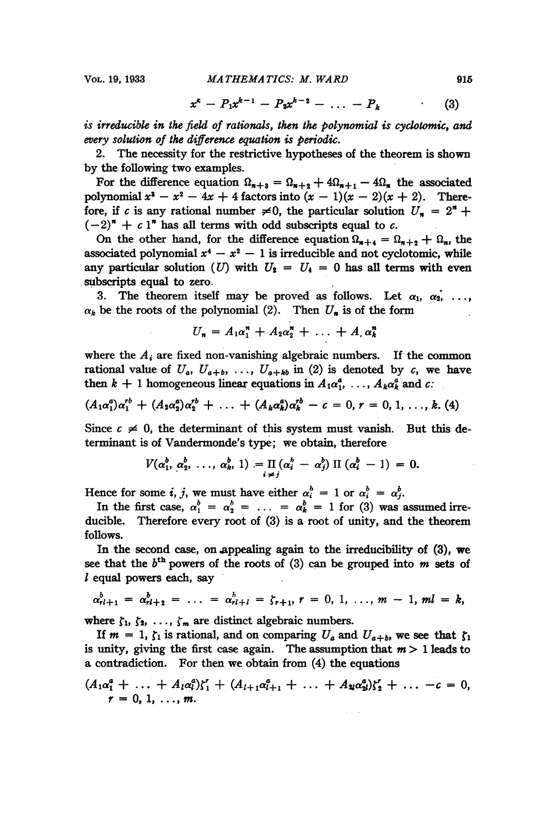$$
x^{k} - P_{1}x^{k-1} - P_{2}x^{k-2} - \ldots - P_{k} \qquad (3)
$$

is irreducible in the field of rationals, then the polynomial is cydotomic, and every solution of the difference equation is periodic.

2. The necessity for the restrictive hypotheses of the theorem is shown by the following two examples.

For the difference equation  $\Omega_{n+3} = \Omega_{n+2} + 4\Omega_{n+1} - 4\Omega_n$  the associated polynomial  $x^3 - x^2 - 4x + 4$  factors into  $(x - 1)(x - 2)(x + 2)$ . Therefore, if c is any rational number  $\neq 0$ , the particular solution  $U_n = 2^n +$  $(-2)^n + c1^n$  has all terms with odd subscripts equal to c.

On the other hand, for the difference equation  $\Omega_{n+4} = \Omega_{n+2} + \Omega_n$ , the associated polynomial  $x^4 - x^2 - 1$  is irreducible and not cyclotomic, while any particular solution (U) with  $U_2 = U_4 = 0$  has all terms with even subscripts equal to zero.

3. The theorem itself may be proved as follows. Let  $\alpha_1, \alpha_2, \ldots,$  $\alpha_k$  be the roots of the polynomial (2). Then  $U_n$  is of the form

$$
U_n = A_1 \alpha_1^n + A_2 \alpha_2^n + \ldots + A_n \alpha_k^n
$$

where the  $A_i$  are fixed non-vanishing algebraic numbers. If the common rational value of  $U_a$ ,  $U_{a+b}$ , ...,  $U_{a+kb}$  in (2) is denoted by c, we have then  $k + 1$  homogeneous linear equations in  $A_1 \alpha_1^a, \ldots, A_k \alpha_k^a$  and c:

$$
(A_1\alpha_1^a)\alpha_1^{rb} + (A_2\alpha_2^a)\alpha_2^{rb} + \ldots + (A_k\alpha_k^a)\alpha_k^{rb} - c = 0, r = 0, 1, \ldots, k.
$$
 (4)

Since  $c \neq 0$ , the determinant of this system must vanish. But this determinant is of Vandermonde's type; we obtain, therefore

$$
V(\alpha_1^b, \alpha_2^b, \ldots, \alpha_k^b, 1) = \prod_{i \neq j} (\alpha_i^b - \alpha_j^b) \Pi(\alpha_i^b - 1) = 0.
$$

Hence for some *i*, *j*, we must have either  $\alpha_i^b = 1$  or  $\alpha_i^b = \alpha_j^b$ .

In the first case,  $\alpha_1^b = \alpha_2^b = \ldots = \alpha_k^b = 1$  for (3) was assumed irreducible. Therefore every root of (3) is a root of unity, and the theorem follows.

In the second case, on appealing again to the irreducibility of (3), we see that the  $b<sup>th</sup>$  powers of the roots of (3) can be grouped into m sets of  $l$  equal powers each, say

$$
\alpha_{r l+1}^b = \alpha_{r l+2}^b = \ldots = \alpha_{r l+l}^b = \zeta_{r+1}, r = 0, 1, \ldots, m-1, ml = k,
$$

where  $\zeta_1, \zeta_2, \ldots, \zeta_m$  are distinct algebraic numbers.

If  $m = 1$ ,  $\zeta_1$  is rational, and on comparing  $U_a$  and  $U_{a+b}$ , we see that  $\zeta_1$ is unity, giving the first case again. The assumption that  $m > 1$  leads to a contradiction. For then we obtain from (4) the equations

$$
(A_1\alpha_1^a + \ldots + A_l\alpha_l^a) \zeta_1^r + (A_{l+1}\alpha_{l+1}^a + \ldots + A_{2l}\alpha_{2l}^a) \zeta_2^r + \ldots - c = 0, \r = 0, 1, \ldots, m.
$$